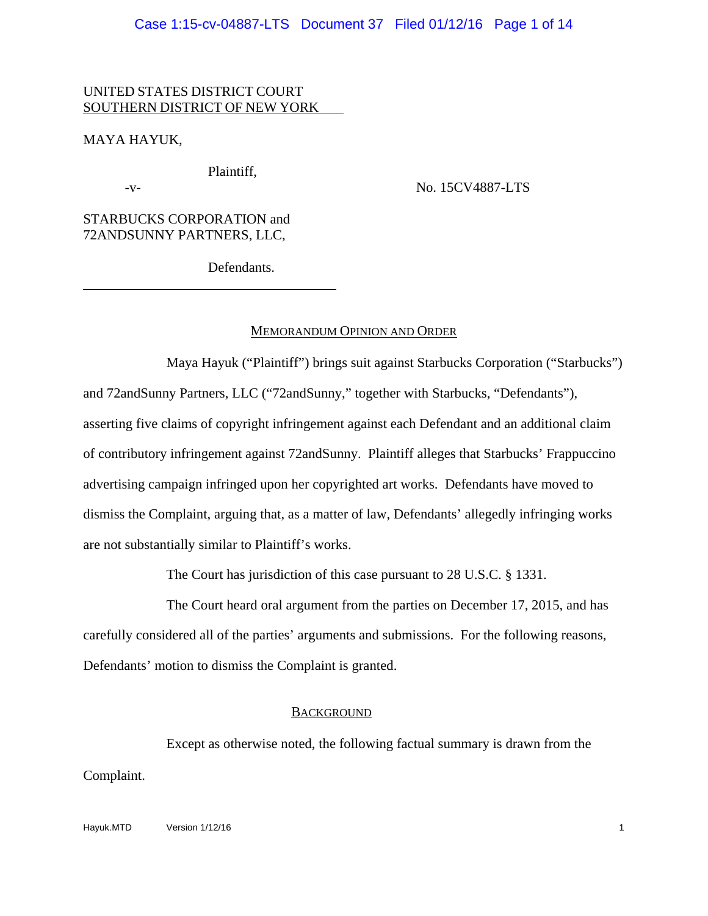## UNITED STATES DISTRICT COURT SOUTHERN DISTRICT OF NEW YORK

MAYA HAYUK,

 $\overline{a}$ 

Plaintiff,

-v- No. 15CV4887-LTS

STARBUCKS CORPORATION and 72ANDSUNNY PARTNERS, LLC,

Defendants.

## MEMORANDUM OPINION AND ORDER

Maya Hayuk ("Plaintiff") brings suit against Starbucks Corporation ("Starbucks") and 72andSunny Partners, LLC ("72andSunny," together with Starbucks, "Defendants"), asserting five claims of copyright infringement against each Defendant and an additional claim of contributory infringement against 72andSunny. Plaintiff alleges that Starbucks' Frappuccino advertising campaign infringed upon her copyrighted art works. Defendants have moved to dismiss the Complaint, arguing that, as a matter of law, Defendants' allegedly infringing works are not substantially similar to Plaintiff's works.

The Court has jurisdiction of this case pursuant to 28 U.S.C. § 1331.

The Court heard oral argument from the parties on December 17, 2015, and has carefully considered all of the parties' arguments and submissions. For the following reasons, Defendants' motion to dismiss the Complaint is granted.

### **BACKGROUND**

Except as otherwise noted, the following factual summary is drawn from the Complaint.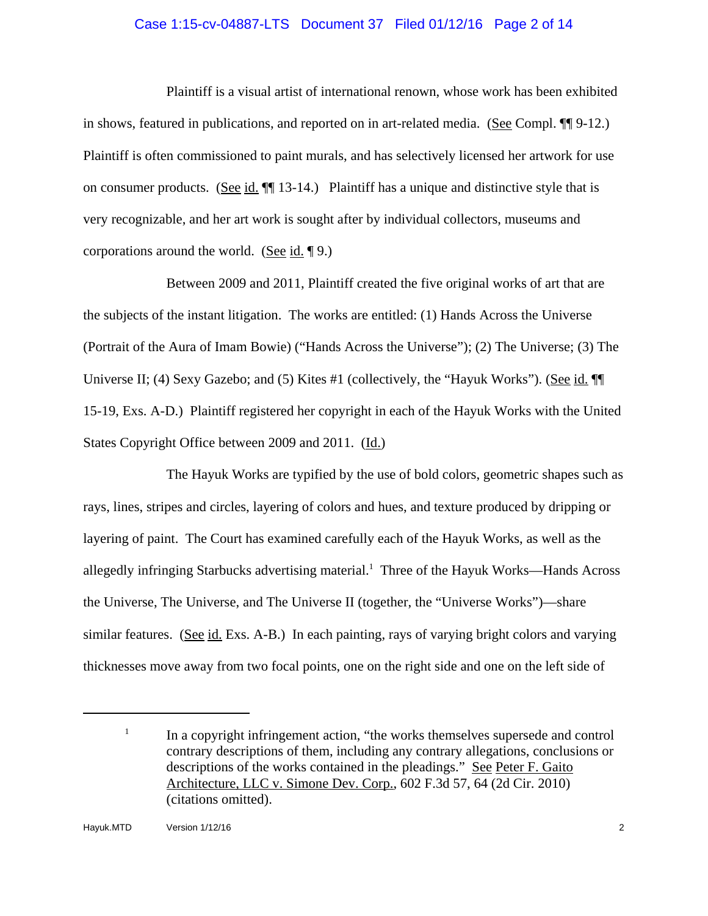### Case 1:15-cv-04887-LTS Document 37 Filed 01/12/16 Page 2 of 14

Plaintiff is a visual artist of international renown, whose work has been exhibited in shows, featured in publications, and reported on in art-related media. (See Compl. ¶¶ 9-12.) Plaintiff is often commissioned to paint murals, and has selectively licensed her artwork for use on consumer products. (See id. ¶¶ 13-14.) Plaintiff has a unique and distinctive style that is very recognizable, and her art work is sought after by individual collectors, museums and corporations around the world. (See id. ¶ 9.)

Between 2009 and 2011, Plaintiff created the five original works of art that are the subjects of the instant litigation. The works are entitled: (1) Hands Across the Universe (Portrait of the Aura of Imam Bowie) ("Hands Across the Universe"); (2) The Universe; (3) The Universe II; (4) Sexy Gazebo; and (5) Kites #1 (collectively, the "Hayuk Works"). (See id.  $\P$ 15-19, Exs. A-D.) Plaintiff registered her copyright in each of the Hayuk Works with the United States Copyright Office between 2009 and 2011. (Id.)

The Hayuk Works are typified by the use of bold colors, geometric shapes such as rays, lines, stripes and circles, layering of colors and hues, and texture produced by dripping or layering of paint. The Court has examined carefully each of the Hayuk Works, as well as the allegedly infringing Starbucks advertising material.<sup>1</sup> Three of the Hayuk Works—Hands Across the Universe, The Universe, and The Universe II (together, the "Universe Works")—share similar features. (See id. Exs. A-B.) In each painting, rays of varying bright colors and varying thicknesses move away from two focal points, one on the right side and one on the left side of

 $1$  In a copyright infringement action, "the works themselves supersede and control contrary descriptions of them, including any contrary allegations, conclusions or descriptions of the works contained in the pleadings." See Peter F. Gaito Architecture, LLC v. Simone Dev. Corp., 602 F.3d 57, 64 (2d Cir. 2010) (citations omitted).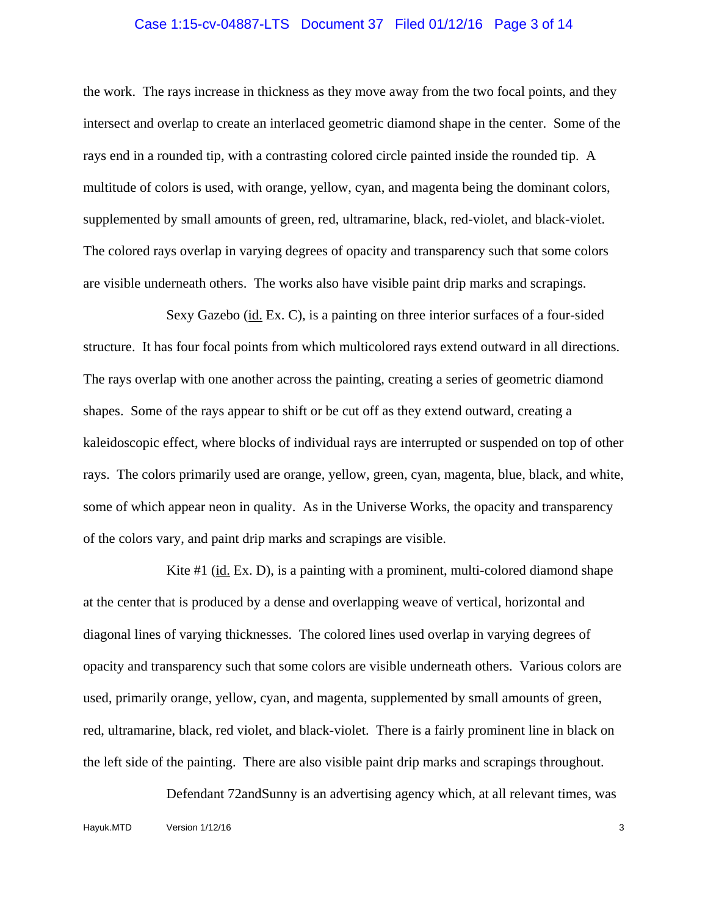#### Case 1:15-cv-04887-LTS Document 37 Filed 01/12/16 Page 3 of 14

the work. The rays increase in thickness as they move away from the two focal points, and they intersect and overlap to create an interlaced geometric diamond shape in the center. Some of the rays end in a rounded tip, with a contrasting colored circle painted inside the rounded tip. A multitude of colors is used, with orange, yellow, cyan, and magenta being the dominant colors, supplemented by small amounts of green, red, ultramarine, black, red-violet, and black-violet. The colored rays overlap in varying degrees of opacity and transparency such that some colors are visible underneath others. The works also have visible paint drip marks and scrapings.

Sexy Gazebo (id. Ex. C), is a painting on three interior surfaces of a four-sided structure. It has four focal points from which multicolored rays extend outward in all directions. The rays overlap with one another across the painting, creating a series of geometric diamond shapes. Some of the rays appear to shift or be cut off as they extend outward, creating a kaleidoscopic effect, where blocks of individual rays are interrupted or suspended on top of other rays. The colors primarily used are orange, yellow, green, cyan, magenta, blue, black, and white, some of which appear neon in quality. As in the Universe Works, the opacity and transparency of the colors vary, and paint drip marks and scrapings are visible.

Kite #1 (id. Ex. D), is a painting with a prominent, multi-colored diamond shape at the center that is produced by a dense and overlapping weave of vertical, horizontal and diagonal lines of varying thicknesses. The colored lines used overlap in varying degrees of opacity and transparency such that some colors are visible underneath others. Various colors are used, primarily orange, yellow, cyan, and magenta, supplemented by small amounts of green, red, ultramarine, black, red violet, and black-violet. There is a fairly prominent line in black on the left side of the painting. There are also visible paint drip marks and scrapings throughout.

Defendant 72andSunny is an advertising agency which, at all relevant times, was Hayuk.MTD Version 1/12/16 3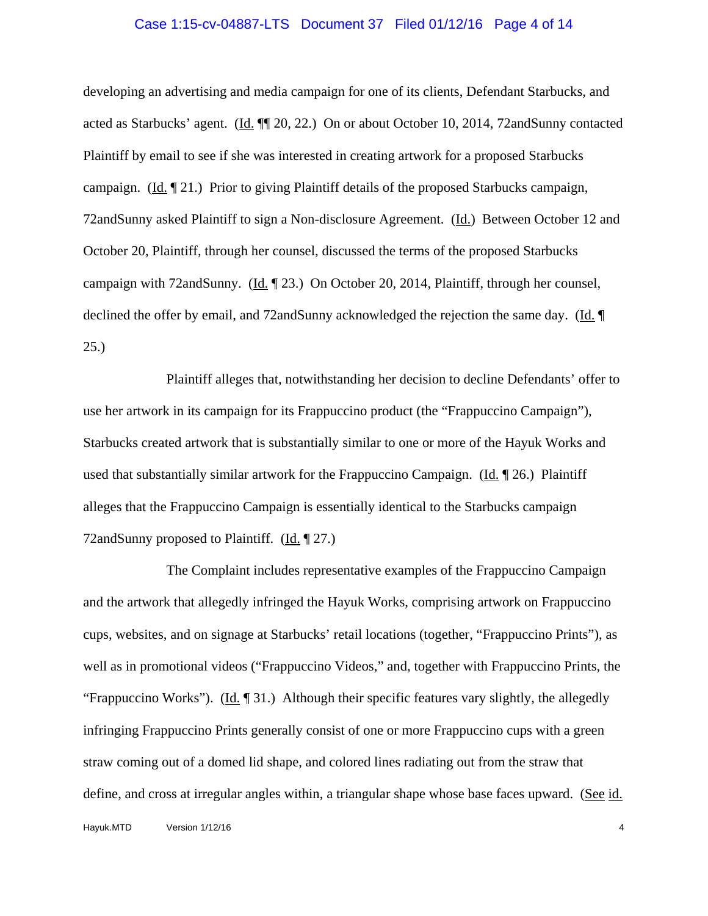#### Case 1:15-cv-04887-LTS Document 37 Filed 01/12/16 Page 4 of 14

developing an advertising and media campaign for one of its clients, Defendant Starbucks, and acted as Starbucks' agent. (Id. ¶¶ 20, 22.) On or about October 10, 2014, 72andSunny contacted Plaintiff by email to see if she was interested in creating artwork for a proposed Starbucks campaign. (Id. ¶ 21.) Prior to giving Plaintiff details of the proposed Starbucks campaign, 72andSunny asked Plaintiff to sign a Non-disclosure Agreement. (Id.) Between October 12 and October 20, Plaintiff, through her counsel, discussed the terms of the proposed Starbucks campaign with 72andSunny. (Id. ¶ 23.) On October 20, 2014, Plaintiff, through her counsel, declined the offer by email, and 72andSunny acknowledged the rejection the same day. (Id. ¶ 25.)

Plaintiff alleges that, notwithstanding her decision to decline Defendants' offer to use her artwork in its campaign for its Frappuccino product (the "Frappuccino Campaign"), Starbucks created artwork that is substantially similar to one or more of the Hayuk Works and used that substantially similar artwork for the Frappuccino Campaign. (Id. ¶ 26.) Plaintiff alleges that the Frappuccino Campaign is essentially identical to the Starbucks campaign 72andSunny proposed to Plaintiff. (Id. 197.)

The Complaint includes representative examples of the Frappuccino Campaign and the artwork that allegedly infringed the Hayuk Works, comprising artwork on Frappuccino cups, websites, and on signage at Starbucks' retail locations (together, "Frappuccino Prints"), as well as in promotional videos ("Frappuccino Videos," and, together with Frappuccino Prints, the "Frappuccino Works"). (Id.  $\llbracket 31.$ ) Although their specific features vary slightly, the allegedly infringing Frappuccino Prints generally consist of one or more Frappuccino cups with a green straw coming out of a domed lid shape, and colored lines radiating out from the straw that define, and cross at irregular angles within, a triangular shape whose base faces upward. (See id.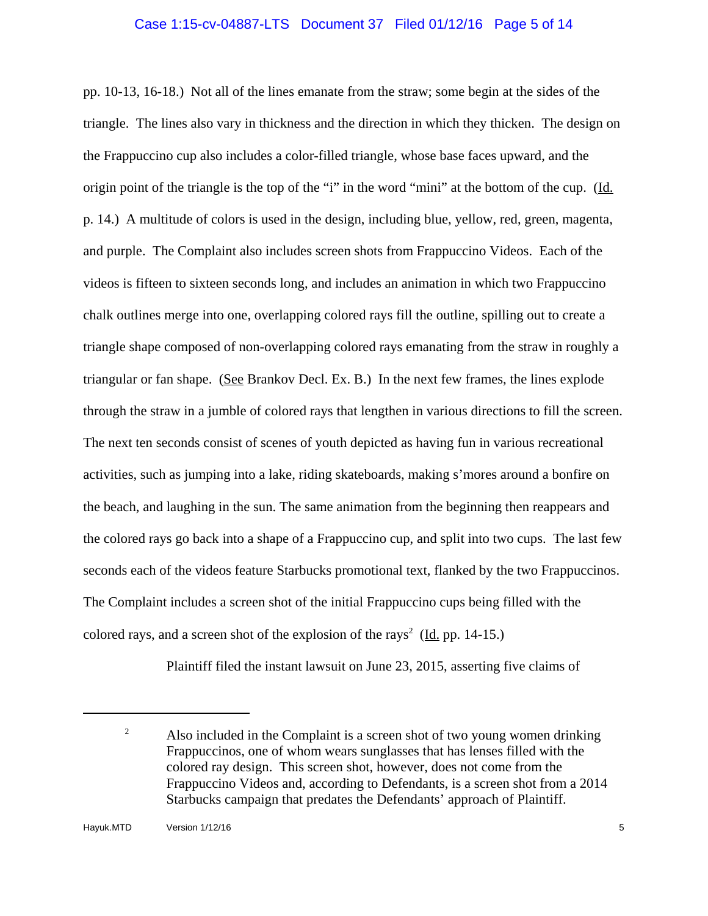## Case 1:15-cv-04887-LTS Document 37 Filed 01/12/16 Page 5 of 14

pp. 10-13, 16-18.) Not all of the lines emanate from the straw; some begin at the sides of the triangle. The lines also vary in thickness and the direction in which they thicken. The design on the Frappuccino cup also includes a color-filled triangle, whose base faces upward, and the origin point of the triangle is the top of the "i" in the word "mini" at the bottom of the cup. (Id. p. 14.) A multitude of colors is used in the design, including blue, yellow, red, green, magenta, and purple. The Complaint also includes screen shots from Frappuccino Videos. Each of the videos is fifteen to sixteen seconds long, and includes an animation in which two Frappuccino chalk outlines merge into one, overlapping colored rays fill the outline, spilling out to create a triangle shape composed of non-overlapping colored rays emanating from the straw in roughly a triangular or fan shape. (See Brankov Decl. Ex. B.) In the next few frames, the lines explode through the straw in a jumble of colored rays that lengthen in various directions to fill the screen. The next ten seconds consist of scenes of youth depicted as having fun in various recreational activities, such as jumping into a lake, riding skateboards, making s'mores around a bonfire on the beach, and laughing in the sun. The same animation from the beginning then reappears and the colored rays go back into a shape of a Frappuccino cup, and split into two cups. The last few seconds each of the videos feature Starbucks promotional text, flanked by the two Frappuccinos. The Complaint includes a screen shot of the initial Frappuccino cups being filled with the colored rays, and a screen shot of the explosion of the rays<sup>2</sup> ( $\underline{Id}$ , pp. 14-15.)

Plaintiff filed the instant lawsuit on June 23, 2015, asserting five claims of

<sup>&</sup>lt;sup>2</sup> Also included in the Complaint is a screen shot of two young women drinking Frappuccinos, one of whom wears sunglasses that has lenses filled with the colored ray design. This screen shot, however, does not come from the Frappuccino Videos and, according to Defendants, is a screen shot from a 2014 Starbucks campaign that predates the Defendants' approach of Plaintiff.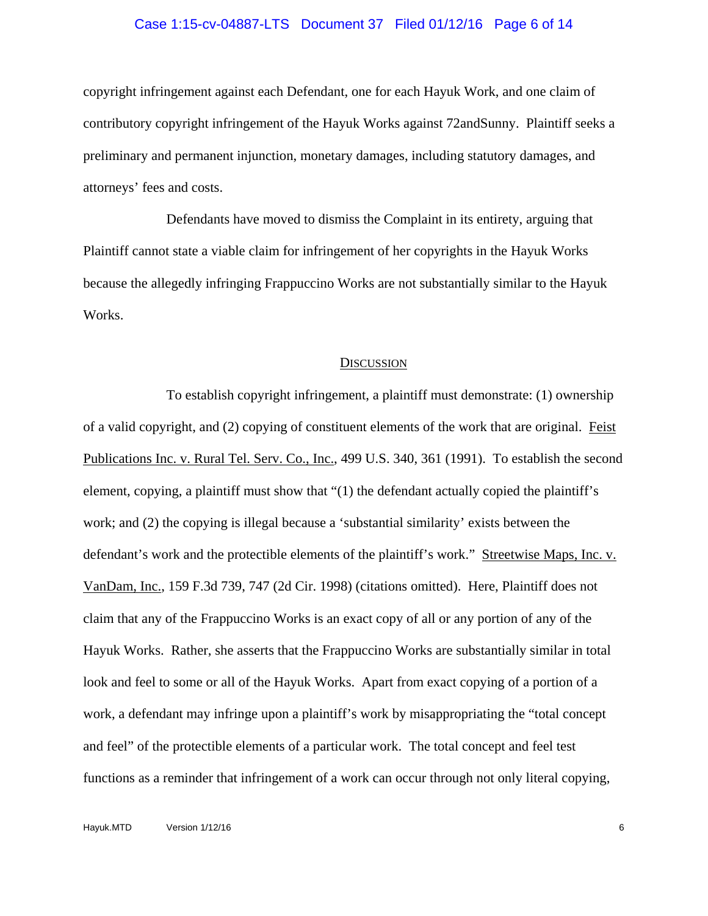#### Case 1:15-cv-04887-LTS Document 37 Filed 01/12/16 Page 6 of 14

copyright infringement against each Defendant, one for each Hayuk Work, and one claim of contributory copyright infringement of the Hayuk Works against 72andSunny. Plaintiff seeks a preliminary and permanent injunction, monetary damages, including statutory damages, and attorneys' fees and costs.

Defendants have moved to dismiss the Complaint in its entirety, arguing that Plaintiff cannot state a viable claim for infringement of her copyrights in the Hayuk Works because the allegedly infringing Frappuccino Works are not substantially similar to the Hayuk Works.

#### **DISCUSSION**

To establish copyright infringement, a plaintiff must demonstrate: (1) ownership of a valid copyright, and (2) copying of constituent elements of the work that are original. Feist Publications Inc. v. Rural Tel. Serv. Co., Inc., 499 U.S. 340, 361 (1991). To establish the second element, copying, a plaintiff must show that "(1) the defendant actually copied the plaintiff's work; and (2) the copying is illegal because a 'substantial similarity' exists between the defendant's work and the protectible elements of the plaintiff's work." Streetwise Maps, Inc. v. VanDam, Inc., 159 F.3d 739, 747 (2d Cir. 1998) (citations omitted). Here, Plaintiff does not claim that any of the Frappuccino Works is an exact copy of all or any portion of any of the Hayuk Works. Rather, she asserts that the Frappuccino Works are substantially similar in total look and feel to some or all of the Hayuk Works. Apart from exact copying of a portion of a work, a defendant may infringe upon a plaintiff's work by misappropriating the "total concept and feel" of the protectible elements of a particular work. The total concept and feel test functions as a reminder that infringement of a work can occur through not only literal copying,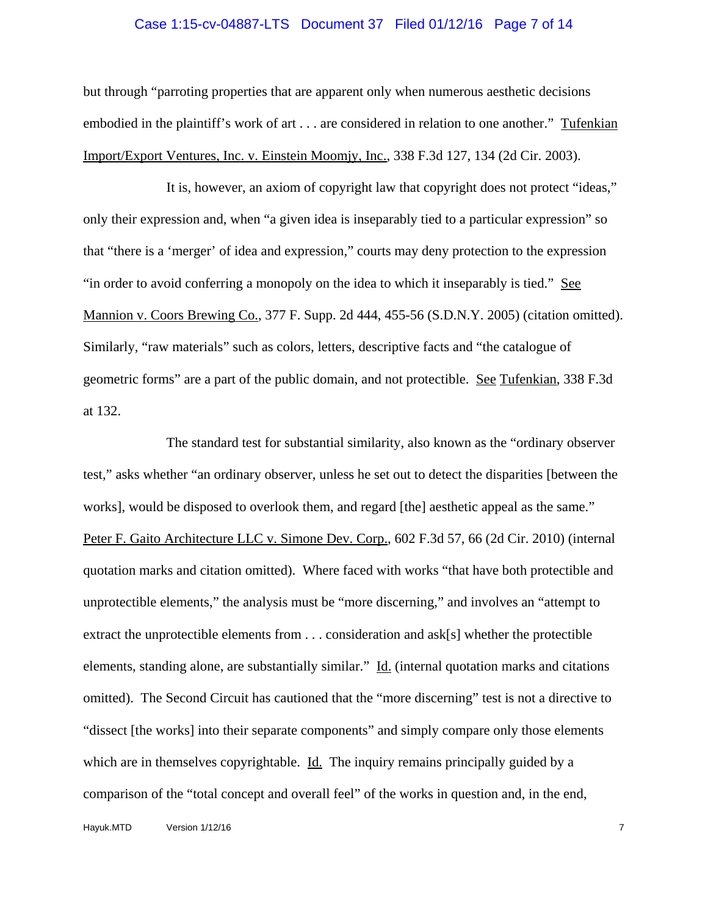#### Case 1:15-cv-04887-LTS Document 37 Filed 01/12/16 Page 7 of 14

but through "parroting properties that are apparent only when numerous aesthetic decisions embodied in the plaintiff's work of art . . . are considered in relation to one another." Tufenkian Import/Export Ventures, Inc. v. Einstein Moomjy, Inc., 338 F.3d 127, 134 (2d Cir. 2003).

It is, however, an axiom of copyright law that copyright does not protect "ideas," only their expression and, when "a given idea is inseparably tied to a particular expression" so that "there is a 'merger' of idea and expression," courts may deny protection to the expression "in order to avoid conferring a monopoly on the idea to which it inseparably is tied." See Mannion v. Coors Brewing Co., 377 F. Supp. 2d 444, 455-56 (S.D.N.Y. 2005) (citation omitted). Similarly, "raw materials" such as colors, letters, descriptive facts and "the catalogue of geometric forms" are a part of the public domain, and not protectible. See Tufenkian, 338 F.3d at 132.

The standard test for substantial similarity, also known as the "ordinary observer test," asks whether "an ordinary observer, unless he set out to detect the disparities [between the works], would be disposed to overlook them, and regard [the] aesthetic appeal as the same." Peter F. Gaito Architecture LLC v. Simone Dev. Corp., 602 F.3d 57, 66 (2d Cir. 2010) (internal quotation marks and citation omitted). Where faced with works "that have both protectible and unprotectible elements," the analysis must be "more discerning," and involves an "attempt to extract the unprotectible elements from . . . consideration and ask[s] whether the protectible elements, standing alone, are substantially similar." Id. (internal quotation marks and citations omitted). The Second Circuit has cautioned that the "more discerning" test is not a directive to "dissect [the works] into their separate components" and simply compare only those elements which are in themselves copyrightable. Id. The inquiry remains principally guided by a comparison of the "total concept and overall feel" of the works in question and, in the end,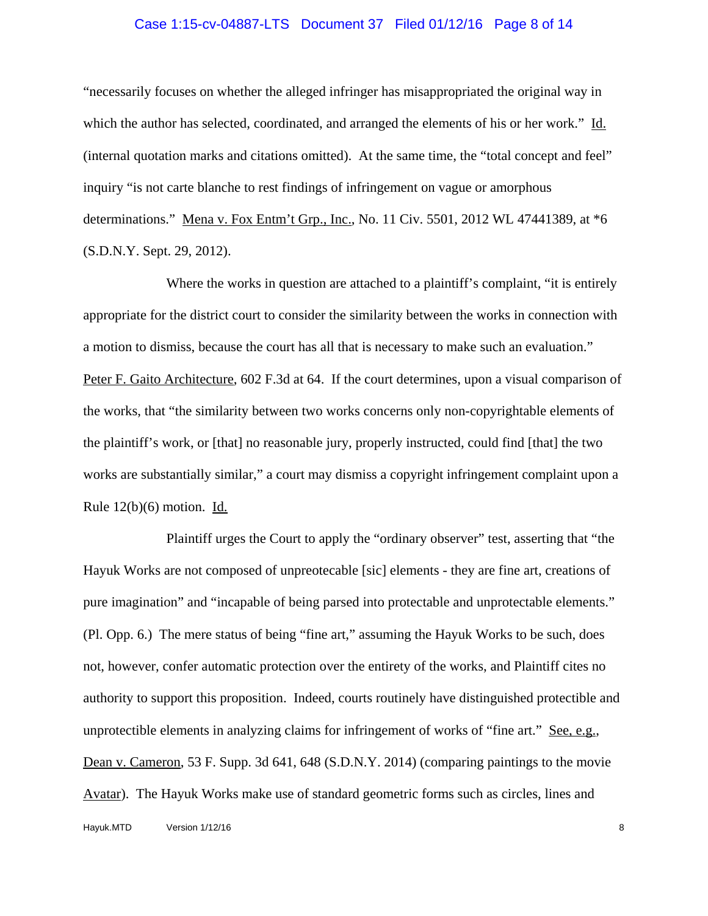#### Case 1:15-cv-04887-LTS Document 37 Filed 01/12/16 Page 8 of 14

"necessarily focuses on whether the alleged infringer has misappropriated the original way in which the author has selected, coordinated, and arranged the elements of his or her work." Id. (internal quotation marks and citations omitted). At the same time, the "total concept and feel" inquiry "is not carte blanche to rest findings of infringement on vague or amorphous determinations." Mena v. Fox Entm't Grp., Inc., No. 11 Civ. 5501, 2012 WL 47441389, at \*6 (S.D.N.Y. Sept. 29, 2012).

Where the works in question are attached to a plaintiff's complaint, "it is entirely appropriate for the district court to consider the similarity between the works in connection with a motion to dismiss, because the court has all that is necessary to make such an evaluation." Peter F. Gaito Architecture, 602 F.3d at 64. If the court determines, upon a visual comparison of the works, that "the similarity between two works concerns only non-copyrightable elements of the plaintiff's work, or [that] no reasonable jury, properly instructed, could find [that] the two works are substantially similar," a court may dismiss a copyright infringement complaint upon a Rule  $12(b)(6)$  motion. Id.

Plaintiff urges the Court to apply the "ordinary observer" test, asserting that "the Hayuk Works are not composed of unpreotecable [sic] elements - they are fine art, creations of pure imagination" and "incapable of being parsed into protectable and unprotectable elements." (Pl. Opp. 6.) The mere status of being "fine art," assuming the Hayuk Works to be such, does not, however, confer automatic protection over the entirety of the works, and Plaintiff cites no authority to support this proposition. Indeed, courts routinely have distinguished protectible and unprotectible elements in analyzing claims for infringement of works of "fine art." See, e.g., Dean v. Cameron, 53 F. Supp. 3d 641, 648 (S.D.N.Y. 2014) (comparing paintings to the movie Avatar). The Hayuk Works make use of standard geometric forms such as circles, lines and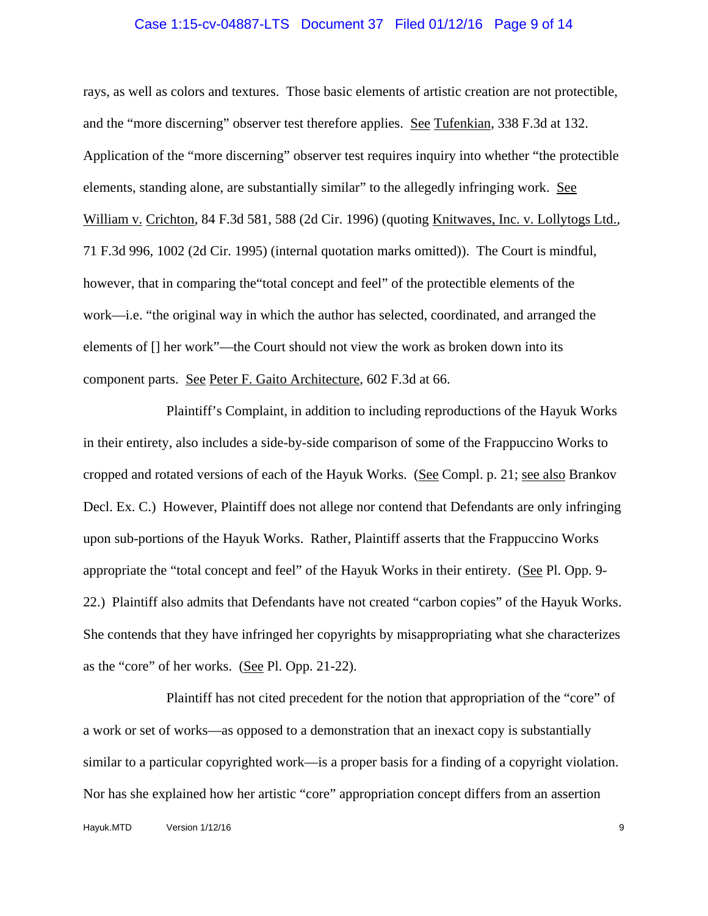#### Case 1:15-cv-04887-LTS Document 37 Filed 01/12/16 Page 9 of 14

rays, as well as colors and textures. Those basic elements of artistic creation are not protectible, and the "more discerning" observer test therefore applies. See Tufenkian, 338 F.3d at 132. Application of the "more discerning" observer test requires inquiry into whether "the protectible elements, standing alone, are substantially similar" to the allegedly infringing work. See William v. Crichton, 84 F.3d 581, 588 (2d Cir. 1996) (quoting Knitwaves, Inc. v. Lollytogs Ltd., 71 F.3d 996, 1002 (2d Cir. 1995) (internal quotation marks omitted)). The Court is mindful, however, that in comparing the"total concept and feel" of the protectible elements of the work—i.e. "the original way in which the author has selected, coordinated, and arranged the elements of [] her work"—the Court should not view the work as broken down into its component parts. See Peter F. Gaito Architecture, 602 F.3d at 66.

Plaintiff's Complaint, in addition to including reproductions of the Hayuk Works in their entirety, also includes a side-by-side comparison of some of the Frappuccino Works to cropped and rotated versions of each of the Hayuk Works. (See Compl. p. 21; see also Brankov Decl. Ex. C.) However, Plaintiff does not allege nor contend that Defendants are only infringing upon sub-portions of the Hayuk Works. Rather, Plaintiff asserts that the Frappuccino Works appropriate the "total concept and feel" of the Hayuk Works in their entirety. (See Pl. Opp. 9- 22.) Plaintiff also admits that Defendants have not created "carbon copies" of the Hayuk Works. She contends that they have infringed her copyrights by misappropriating what she characterizes as the "core" of her works. (See Pl. Opp. 21-22).

Plaintiff has not cited precedent for the notion that appropriation of the "core" of a work or set of works—as opposed to a demonstration that an inexact copy is substantially similar to a particular copyrighted work—is a proper basis for a finding of a copyright violation. Nor has she explained how her artistic "core" appropriation concept differs from an assertion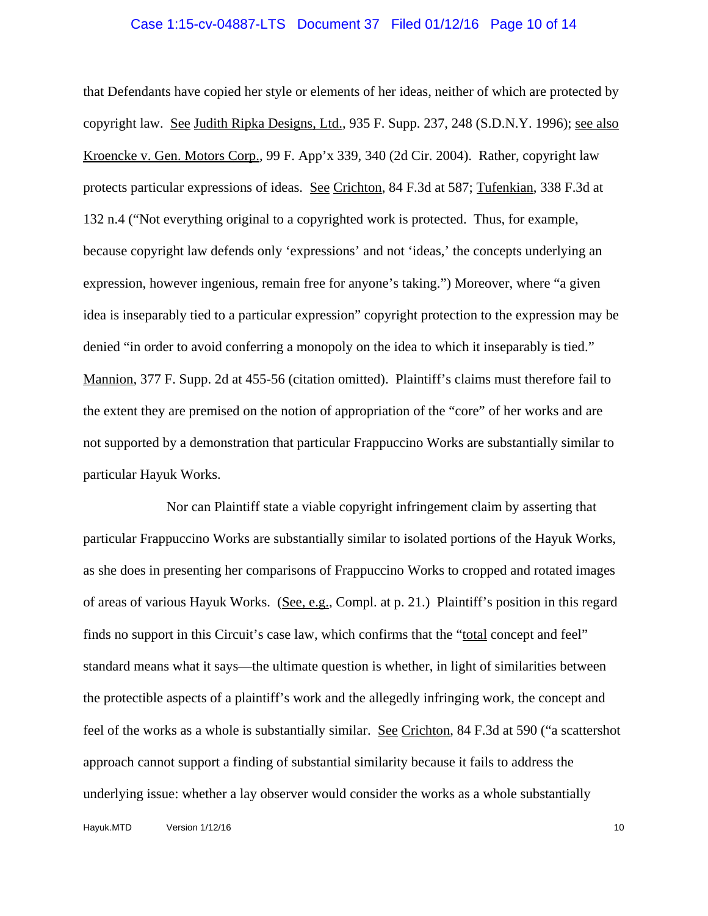#### Case 1:15-cv-04887-LTS Document 37 Filed 01/12/16 Page 10 of 14

that Defendants have copied her style or elements of her ideas, neither of which are protected by copyright law. See Judith Ripka Designs, Ltd., 935 F. Supp. 237, 248 (S.D.N.Y. 1996); see also Kroencke v. Gen. Motors Corp., 99 F. App'x 339, 340 (2d Cir. 2004). Rather, copyright law protects particular expressions of ideas. See Crichton, 84 F.3d at 587; Tufenkian, 338 F.3d at 132 n.4 ("Not everything original to a copyrighted work is protected. Thus, for example, because copyright law defends only 'expressions' and not 'ideas,' the concepts underlying an expression, however ingenious, remain free for anyone's taking.") Moreover, where "a given idea is inseparably tied to a particular expression" copyright protection to the expression may be denied "in order to avoid conferring a monopoly on the idea to which it inseparably is tied." Mannion, 377 F. Supp. 2d at 455-56 (citation omitted). Plaintiff's claims must therefore fail to the extent they are premised on the notion of appropriation of the "core" of her works and are not supported by a demonstration that particular Frappuccino Works are substantially similar to particular Hayuk Works.

Nor can Plaintiff state a viable copyright infringement claim by asserting that particular Frappuccino Works are substantially similar to isolated portions of the Hayuk Works, as she does in presenting her comparisons of Frappuccino Works to cropped and rotated images of areas of various Hayuk Works. (See, e.g., Compl. at p. 21.) Plaintiff's position in this regard finds no support in this Circuit's case law, which confirms that the "total concept and feel" standard means what it says—the ultimate question is whether, in light of similarities between the protectible aspects of a plaintiff's work and the allegedly infringing work, the concept and feel of the works as a whole is substantially similar. See Crichton, 84 F.3d at 590 ("a scattershot approach cannot support a finding of substantial similarity because it fails to address the underlying issue: whether a lay observer would consider the works as a whole substantially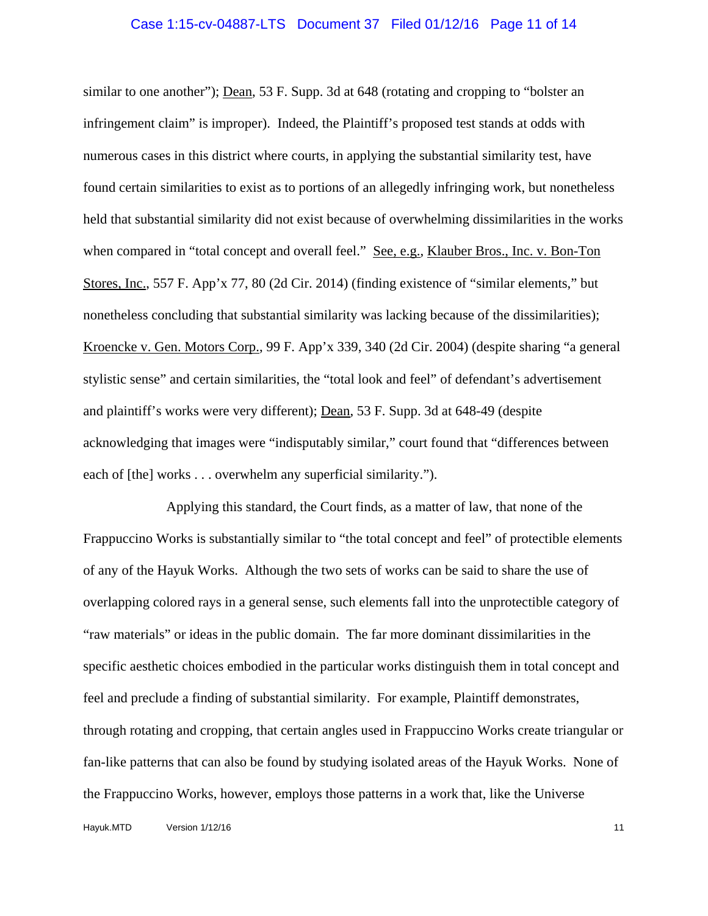# Case 1:15-cv-04887-LTS Document 37 Filed 01/12/16 Page 11 of 14

similar to one another"); Dean, 53 F. Supp. 3d at 648 (rotating and cropping to "bolster an infringement claim" is improper). Indeed, the Plaintiff's proposed test stands at odds with numerous cases in this district where courts, in applying the substantial similarity test, have found certain similarities to exist as to portions of an allegedly infringing work, but nonetheless held that substantial similarity did not exist because of overwhelming dissimilarities in the works when compared in "total concept and overall feel." See, e.g., Klauber Bros., Inc. v. Bon-Ton Stores, Inc., 557 F. App'x 77, 80 (2d Cir. 2014) (finding existence of "similar elements," but nonetheless concluding that substantial similarity was lacking because of the dissimilarities); Kroencke v. Gen. Motors Corp., 99 F. App'x 339, 340 (2d Cir. 2004) (despite sharing "a general stylistic sense" and certain similarities, the "total look and feel" of defendant's advertisement and plaintiff's works were very different); Dean, 53 F. Supp. 3d at 648-49 (despite acknowledging that images were "indisputably similar," court found that "differences between each of [the] works . . . overwhelm any superficial similarity.").

Applying this standard, the Court finds, as a matter of law, that none of the Frappuccino Works is substantially similar to "the total concept and feel" of protectible elements of any of the Hayuk Works. Although the two sets of works can be said to share the use of overlapping colored rays in a general sense, such elements fall into the unprotectible category of "raw materials" or ideas in the public domain. The far more dominant dissimilarities in the specific aesthetic choices embodied in the particular works distinguish them in total concept and feel and preclude a finding of substantial similarity. For example, Plaintiff demonstrates, through rotating and cropping, that certain angles used in Frappuccino Works create triangular or fan-like patterns that can also be found by studying isolated areas of the Hayuk Works. None of the Frappuccino Works, however, employs those patterns in a work that, like the Universe

Hayuk.MTD Version 1/12/16 11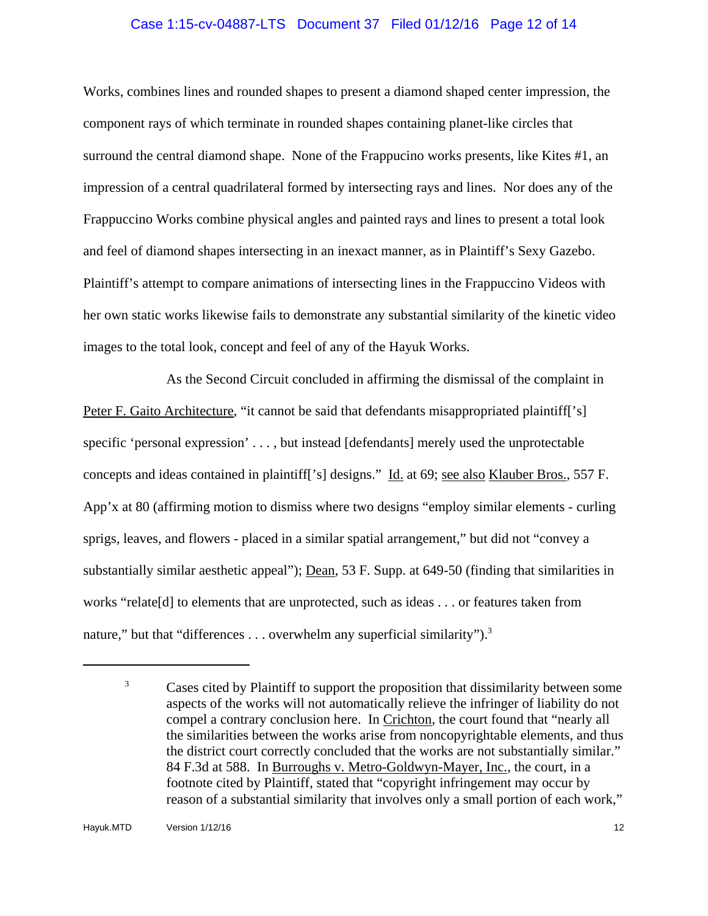## Case 1:15-cv-04887-LTS Document 37 Filed 01/12/16 Page 12 of 14

Works, combines lines and rounded shapes to present a diamond shaped center impression, the component rays of which terminate in rounded shapes containing planet-like circles that surround the central diamond shape. None of the Frappucino works presents, like Kites #1, an impression of a central quadrilateral formed by intersecting rays and lines. Nor does any of the Frappuccino Works combine physical angles and painted rays and lines to present a total look and feel of diamond shapes intersecting in an inexact manner, as in Plaintiff's Sexy Gazebo. Plaintiff's attempt to compare animations of intersecting lines in the Frappuccino Videos with her own static works likewise fails to demonstrate any substantial similarity of the kinetic video images to the total look, concept and feel of any of the Hayuk Works.

As the Second Circuit concluded in affirming the dismissal of the complaint in Peter F. Gaito Architecture, "it cannot be said that defendants misappropriated plaintiff['s] specific 'personal expression' . . . , but instead [defendants] merely used the unprotectable concepts and ideas contained in plaintiff['s] designs." Id. at 69; see also Klauber Bros., 557 F. App'x at 80 (affirming motion to dismiss where two designs "employ similar elements - curling sprigs, leaves, and flowers - placed in a similar spatial arrangement," but did not "convey a substantially similar aesthetic appeal"); <u>Dean</u>, 53 F. Supp. at 649-50 (finding that similarities in works "relate[d] to elements that are unprotected, such as ideas . . . or features taken from nature," but that "differences . . . overwhelm any superficial similarity").<sup>3</sup>

<sup>&</sup>lt;sup>3</sup> Cases cited by Plaintiff to support the proposition that dissimilarity between some aspects of the works will not automatically relieve the infringer of liability do not compel a contrary conclusion here. In Crichton, the court found that "nearly all the similarities between the works arise from noncopyrightable elements, and thus the district court correctly concluded that the works are not substantially similar." 84 F.3d at 588. In Burroughs v. Metro-Goldwyn-Mayer, Inc., the court, in a footnote cited by Plaintiff, stated that "copyright infringement may occur by reason of a substantial similarity that involves only a small portion of each work,"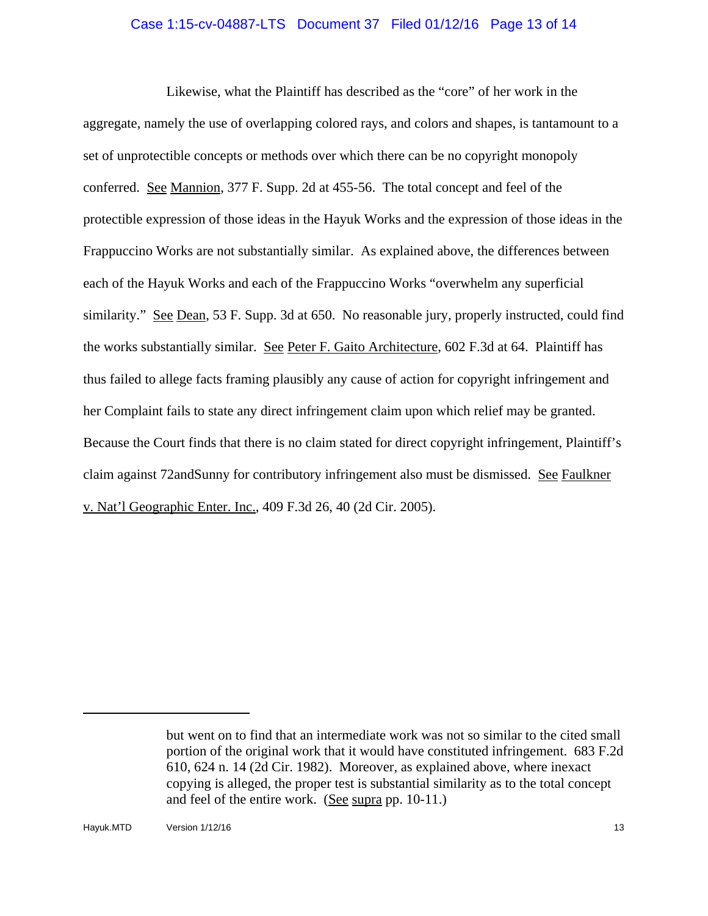### Case 1:15-cv-04887-LTS Document 37 Filed 01/12/16 Page 13 of 14

Likewise, what the Plaintiff has described as the "core" of her work in the aggregate, namely the use of overlapping colored rays, and colors and shapes, is tantamount to a set of unprotectible concepts or methods over which there can be no copyright monopoly conferred. See Mannion, 377 F. Supp. 2d at 455-56. The total concept and feel of the protectible expression of those ideas in the Hayuk Works and the expression of those ideas in the Frappuccino Works are not substantially similar. As explained above, the differences between each of the Hayuk Works and each of the Frappuccino Works "overwhelm any superficial similarity." See Dean, 53 F. Supp. 3d at 650. No reasonable jury, properly instructed, could find the works substantially similar. See Peter F. Gaito Architecture, 602 F.3d at 64. Plaintiff has thus failed to allege facts framing plausibly any cause of action for copyright infringement and her Complaint fails to state any direct infringement claim upon which relief may be granted. Because the Court finds that there is no claim stated for direct copyright infringement, Plaintiff's claim against 72andSunny for contributory infringement also must be dismissed. See Faulkner v. Nat'l Geographic Enter. Inc., 409 F.3d 26, 40 (2d Cir. 2005).

but went on to find that an intermediate work was not so similar to the cited small portion of the original work that it would have constituted infringement. 683 F.2d 610, 624 n. 14 (2d Cir. 1982). Moreover, as explained above, where inexact copying is alleged, the proper test is substantial similarity as to the total concept and feel of the entire work. (See supra pp. 10-11.)